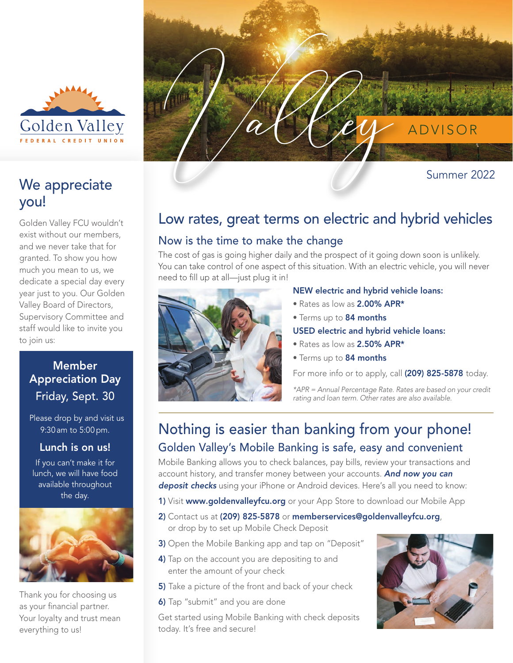

## We appreciate you!

Golden Valley FCU wouldn't exist without our members, and we never take that for granted. To show you how much you mean to us, we dedicate a special day every year just to you. Our Golden Valley Board of Directors, Supervisory Committee and staff would like to invite you to join us:

## Member Appreciation Day Friday, Sept. 30

Please drop by and visit us 9:30 am to 5:00 pm.

### Lunch is on us!

If you can't make it for lunch, we will have food available throughout the day.



Thank you for choosing us as your financial partner. Your loyalty and trust mean everything to us!



# Low rates, great terms on electric and hybrid vehicles

### Now is the time to make the change

The cost of gas is going higher daily and the prospect of it going down soon is unlikely. You can take control of one aspect of this situation. With an electric vehicle, you will never need to fill up at all—just plug it in!



#### NEW electric and hybrid vehicle loans:

- Rates as low as 2.00% APR\*
- Terms up to 84 months
- USED electric and hybrid vehicle loans:
- Rates as low as 2.50% APR\*
- Terms up to 84 months

For more info or to apply, call (209) 825-5878 today.

*\*APR = Annual Percentage Rate. Rates are based on your credit rating and loan term. Other rates are also available.*

## Nothing is easier than banking from your phone! Golden Valley's Mobile Banking is safe, easy and convenient

Mobile Banking allows you to check balances, pay bills, review your transactions and account history, and transfer money between your accounts. *And now you can deposit checks* using your iPhone or Android devices. Here's all you need to know:

- 1) Visit www.goldenvalleyfcu.org or your App Store to download our Mobile App
- 2) Contact us at (209) 825-5878 or memberservices@goldenvalleyfcu.org, or drop by to set up Mobile Check Deposit
- 3) Open the Mobile Banking app and tap on "Deposit"
- 4) Tap on the account you are depositing to and enter the amount of your check
- 5) Take a picture of the front and back of your check
- 6) Tap "submit" and you are done

Get started using Mobile Banking with check deposits today. It's free and secure!